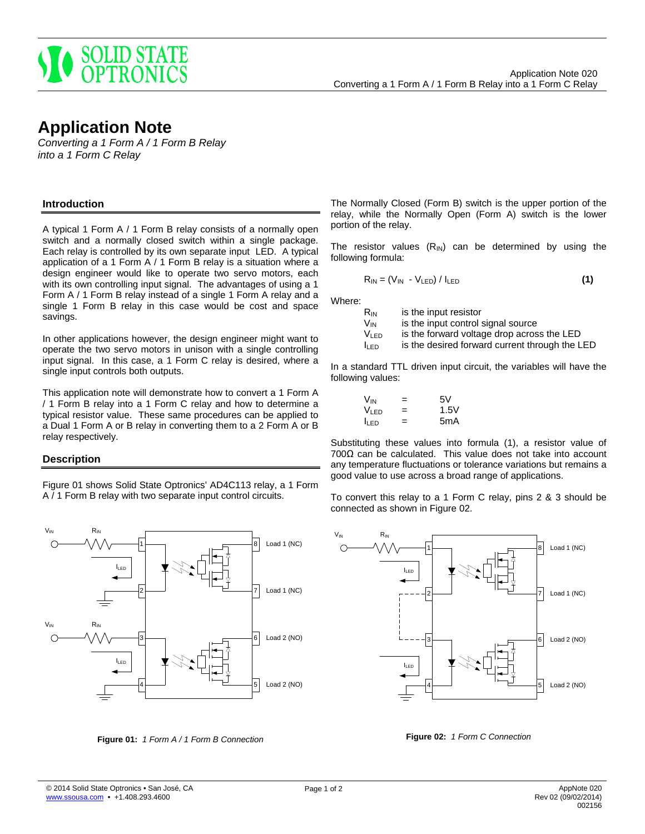

# **Application Note**

*Converting a 1 Form A / 1 Form B Relay into a 1 Form C Relay*

### **Introduction**

A typical 1 Form A / 1 Form B relay consists of a normally open switch and a normally closed switch within a single package. Each relay is controlled by its own separate input LED. A typical application of a 1 Form A / 1 Form B relay is a situation where a design engineer would like to operate two servo motors, each with its own controlling input signal. The advantages of using a 1 Form A / 1 Form B relay instead of a single 1 Form A relay and a single 1 Form B relay in this case would be cost and space savings.

In other applications however, the design engineer might want to operate the two servo motors in unison with a single controlling input signal. In this case, a 1 Form C relay is desired, where a single input controls both outputs.

This application note will demonstrate how to convert a 1 Form A / 1 Form B relay into a 1 Form C relay and how to determine a typical resistor value. These same procedures can be applied to a Dual 1 Form A or B relay in converting them to a 2 Form A or B relay respectively.

# **Description**

Figure 01 shows Solid State Optronics' AD4C113 relay, a 1 Form A / 1 Form B relay with two separate input control circuits.



**Figure 01:** *1 Form A / 1 Form B Connection*

The Normally Closed (Form B) switch is the upper portion of the relay, while the Normally Open (Form A) switch is the lower portion of the relay.

The resistor values  $(R_{\text{IN}})$  can be determined by using the following formula:

$$
R_{IN} = (V_{IN} - V_{LED}) / I_{LED}
$$
 (1)

Where:

| Rın   | is the input resistor                          |
|-------|------------------------------------------------|
| Vın   | is the input control signal source             |
| Vı en | is the forward voltage drop across the LED     |
| lled  | is the desired forward current through the LED |

In a standard TTL driven input circuit, the variables will have the following values:

| V <sub>IN</sub> | = | 5V               |
|-----------------|---|------------------|
| Vı en           | = | 1.5V             |
| lı en           | = | 5 <sub>m</sub> A |

Substituting these values into formula (1), a resistor value of 700Ω can be calculated. This value does not take into account any temperature fluctuations or tolerance variations but remains a good value to use across a broad range of applications.

To convert this relay to a 1 Form C relay, pins 2 & 3 should be connected as shown in Figure 02.



**Figure 02:** *1 Form C Connection*